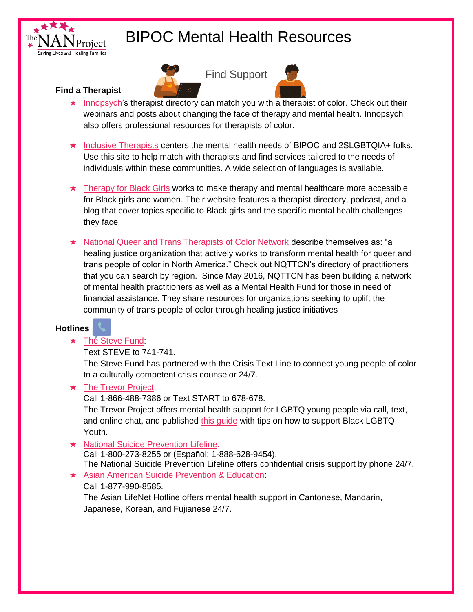



Find Support

### **Find a Therapist**

- ★ [Innopsych'](https://www.innopsych.com/findatherapist)s therapist directory can match you with a therapist of color. Check out their webinars and posts about changing the face of therapy and mental health. Innopsych also offers professional resources for therapists of color.
- ★ [Inclusive Therapists](https://www.inclusivetherapists.com/) centers the mental health needs of BlPOC and 2SLGBTQIA+ folks. Use this site to help match with therapists and find services tailored to the needs of individuals within these communities. A wide selection of languages is available.
- ★ [Therapy for Black Girls](https://therapyforblackgirls.com/) works to make therapy and mental healthcare more accessible for Black girls and women. Their website features a therapist directory, podcast, and a blog that cover topics specific to Black girls and the specific mental health challenges they face.
- ★ [National Queer and Trans Therapists of Color Network](https://www.nqttcn.com/) describe themselves as: "a healing justice organization that actively works to transform mental health for queer and trans people of color in North America." Check out NQTTCN's directory of practitioners that you can search by region. Since May 2016, NQTTCN has been building a network of mental health practitioners as well as a Mental Health Fund for those in need of financial assistance. They share resources for organizations seeking to uplift the community of trans people of color through healing justice initiatives

# **Hotlines**

# ★ The [Steve Fund:](https://www.stevefund.org/)

Text STEVE to 741-741.

The Steve Fund has partnered with the Crisis Text Line to connect young people of color to a culturally competent crisis counselor 24/7.

### ★ [The Trevor Project:](https://www.thetrevorproject.org/2020/06/01/supporting-black-lgbtq-youth-mental-health/)

Call 1-866-488-7386 or Text START to 678-678.

The Trevor Project offers mental health support for LGBTQ young people via call, text, and online chat, and published this quide with tips on how to support Black LGBTQ Youth.

#### ★ [National Suicide Prevention Lifeline:](https://suicidepreventionlifeline.org/)

Call 1-800-273-8255 or (Español: 1-888-628-9454). The National Suicide Prevention Lifeline offers confidential crisis support by phone 24/7.

★ [Asian American Suicide Prevention & Education:](https://aaspe.net/)

### Call 1-877-990-8585.

The Asian LifeNet Hotline offers mental health support in Cantonese, Mandarin, Japanese, Korean, and Fujianese 24/7.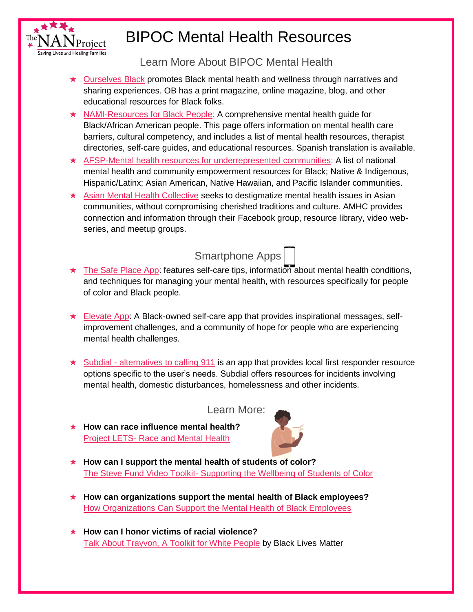

Learn More About BIPOC Mental Health

- ★ [Ourselves Black](https://ourselvesblack.com/) promotes Black mental health and wellness through narratives and sharing experiences. OB has a print magazine, online magazine, blog, and other educational resources for Black folks.
- ★ [NAMI-Resources for Black People:](https://www.nami.org/Your-Journey/Identity-and-Cultural-Dimensions/Black-African-American) A comprehensive mental health guide for Black/African American people. This page offers information on mental health care barriers, cultural competency, and includes a list of mental health resources, therapist directories, self-care guides, and educational resources. Spanish translation is available.
- ★ [AFSP-Mental health resources for underrepresented communities:](https://afsp.org/mental-health-resources-for-underrepresented-communities#general-resources) A list of national mental health and community empowerment resources for Black; Native & Indigenous, Hispanic/Latinx; Asian American, Native Hawaiian, and Pacific Islander communities.
- ★ [Asian Mental Health Collective](https://www.asianmhc.org/) seeks to destigmatize mental health issues in Asian communities, without compromising cherished traditions and culture. AMHC provides connection and information through their Facebook group, resource library, video webseries, and meetup groups.



- ★ [The Safe Place App:](https://apps.apple.com/us/app/the-safe-place/id1349460763) features self-care tips, information about mental health conditions, and techniques for managing your mental health, with resources specifically for people of color and Black people.
- $\star$  [Elevate App:](https://getelevateapp.com/) A Black-owned self-care app that provides inspirational messages, selfimprovement challenges, and a community of hope for people who are experiencing mental health challenges.
- $\star$  Subdial [alternatives to calling 911](https://subdial.app/) is an app that provides local first responder resource options specific to the user's needs. Subdial offers resources for incidents involving mental health, domestic disturbances, homelessness and other incidents.

Learn More:

★ **How can race influence mental health?**  Project LETS- [Race and Mental Health](https://projectlets.org/race-and-mental-health)



- ★ **How can I support the mental health of students of color?**  The Steve Fund Video Toolkit- [Supporting the Wellbeing of Students of Color](https://www.stevefund.org/video-toolkit-supporting-the-well-being-of-students-of-color/)
- ★ **How can organizations support the mental health of Black employees?** [How Organizations Can Support the Mental Health of Black Employees](https://hbr.org/2020/06/how-organizations-can-support-the-mental-health-of-black-employees)
- ★ **How can I honor victims of racial violence?**  [Talk About Trayvon, A Toolkit for White People](https://blacklivesmatter.com/wp-content/uploads/2017/10/Toolkit-WhitePpl-Trayvon.pdf) by Black Lives Matter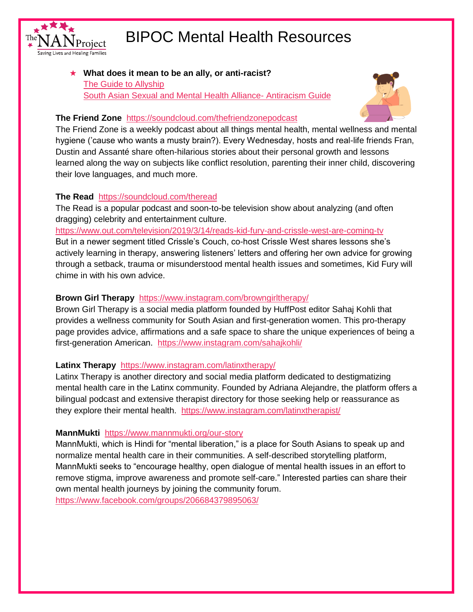

★ **What does it mean to be an ally, or anti-racist?**  [The Guide to Allyship](https://guidetoallyship.com/) [South Asian Sexual and Mental Health Alliance-](https://docs.google.com/document/d/1BRlF2_zhNe86SGgHa6-VlBO-QgirITwCTugSfKie5Fs/preview?pru=AAABcqEXF2U%2A7GlHPDIccfWgShciuGca5Q) Antiracism Guide



## **The Friend Zone** <https://soundcloud.com/thefriendzonepodcast>

The Friend Zone is a weekly podcast about all things mental health, mental wellness and mental hygiene ('cause who wants a musty brain?). Every Wednesday, hosts and real-life friends Fran, Dustin and Assanté share often-hilarious stories about their personal growth and lessons learned along the way on subjects like conflict resolution, parenting their inner child, discovering their love languages, and much more.

# **The Read** <https://soundcloud.com/theread>

The Read is a popular podcast and soon-to-be television show about analyzing (and often dragging) celebrity and entertainment culture.

### <https://www.out.com/television/2019/3/14/reads-kid-fury-and-crissle-west-are-coming-tv>

But in a newer segment titled Crissle's Couch, co-host Crissle West shares lessons she's actively learning in therapy, answering listeners' letters and offering her own advice for growing through a setback, trauma or misunderstood mental health issues and sometimes, Kid Fury will chime in with his own advice.

## **Brown Girl Therapy** <https://www.instagram.com/browngirltherapy/>

Brown Girl Therapy is a social media platform founded by HuffPost editor Sahaj Kohli that provides a wellness community for South Asian and first-generation women. This pro-therapy page provides advice, affirmations and a safe space to share the unique experiences of being a first-generation American. <https://www.instagram.com/sahajkohli/>

# **Latinx Therapy** <https://www.instagram.com/latinxtherapy/>

Latinx Therapy is another directory and social media platform dedicated to destigmatizing mental health care in the Latinx community. Founded by Adriana Alejandre, the platform offers a bilingual podcast and extensive therapist directory for those seeking help or reassurance as they explore their mental health. <https://www.instagram.com/latinxtherapist/>

# **MannMukti** <https://www.mannmukti.org/our-story>

MannMukti, which is Hindi for "mental liberation," is a place for South Asians to speak up and normalize mental health care in their communities. A self-described storytelling platform, MannMukti seeks to "encourage healthy, open dialogue of mental health issues in an effort to remove stigma, improve awareness and promote self-care." Interested parties can share their own mental health journeys by joining the community forum. <https://www.facebook.com/groups/206684379895063/>